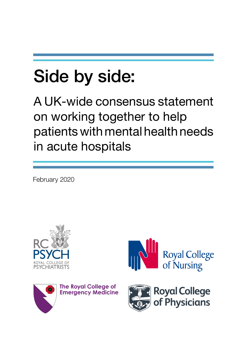# Side by side:

A UK-wide consensus statement on working together to help patients with mental health needs in acute hospitals

February 2020







**The Royal College of Emergency Medicine** 

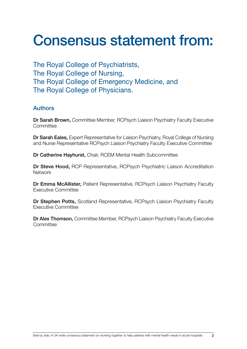# Consensus statement from:

The Royal College of Psychiatrists, The Royal College of Nursing, The Royal College of Emergency Medicine, and The Royal College of Physicians.

## Authors

Dr Sarah Brown, Committee Member, RCPsych Liaison Psychiatry Faculty Executive **Committee** 

Dr Sarah Eales, Expert Representative for Liaison Psychiatry, Royal College of Nursing and Nurse Representative RCPsych Liaison Psychiatry Faculty Executive Committee

Dr Catherine Hayhurst, Chair, RCEM Mental Health Subcommittee

Dr Steve Hood, RCP Representative, RCPsych Psychiatric Liaison Accreditation **Network** 

Dr Emma McAllister, Patient Representative, RCPsych Liaison Psychiatry Faculty Executive Committee

Dr Stephen Potts, Scotland Representative, RCPsych Liaison Psychiatry Faculty Executive Committee

Dr Alex Thomson, Committee Member, RCPsych Liaison Psychiatry Faculty Executive **Committee**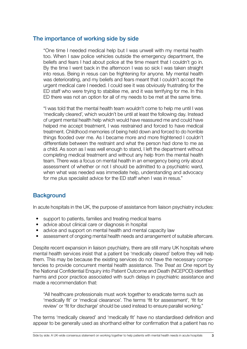### The importance of working side by side

"One time I needed medical help but I was unwell with my mental health too. When I saw police vehicles outside the emergency department, the beliefs and fears I had about police at the time meant that I couldn't go in. By the time I went back in the afternoon I was so sick I was taken straight into resus. Being in resus can be frightening for anyone. My mental health was deteriorating, and my beliefs and fears meant that I couldn't accept the urgent medical care I needed. I could see it was obviously frustrating for the ED staff who were trying to stabilise me, and it was terrifying for me. In this ED there was not an option for all of my needs to be met at the same time.

"I was told that the mental health team wouldn't come to help me until I was 'medically cleared', which wouldn't be until at least the following day. Instead of urgent mental health help which would have reassured me and could have helped me accept treatment, I was restrained and forced to have medical treatment. Childhood memories of being held down and forced to do horrible things flooded over me. As I became more and more frightened I couldn't differentiate between the restraint and what the person had done to me as a child. As soon as I was well enough to stand, I left the department without completing medical treatment and without any help from the mental health team. There was a focus on mental health in an emergency being only about assessment of whether or not I should be admitted to a psychiatric ward, when what was needed was immediate help, understanding and advocacy for me plus specialist advice for the ED staff when I was in resus."

# **Background**

In acute hospitals in the UK, the purpose of assistance from liaison psychiatry includes:

- support to patients, families and treating medical teams
- advice about clinical care or diagnosis in hospital
- advice and support on mental health and mental capacity law
- assessment of ongoing mental health needs and arrangement of suitable aftercare.

Despite recent expansion in liaison psychiatry, there are still many UK hospitals where mental health services insist that a patient be 'medically cleared' before they will help them. This may be because the existing services do not have the necessary competencies to provide concurrent mental health assistance. The *Treat as One* report by the National Confidential Enquiry into Patient Outcome and Death (NCEPOD) identified harms and poor practice associated with such delays in psychiatric assistance and made a recommendation that:

"All healthcare professionals must work together to eradicate terms such as 'medically fit' or 'medical clearance'. The terms 'fit for assessment', 'fit for review' or 'fit for discharge' should be used instead to ensure parallel working."

The terms 'medically cleared' and 'medically fit' have no standardised definition and appear to be generally used as shorthand either for confirmation that a patient has no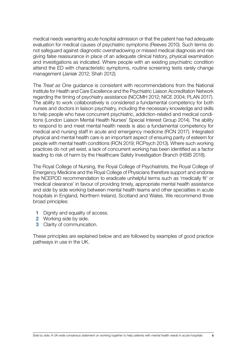medical needs warranting acute hospital admission or that the patient has had adequate evaluation for medical causes of psychiatric symptoms (Reeves 2010). Such terms do not safeguard against diagnostic overshadowing or missed medical diagnosis and risk giving false reassurance in place of an adequate clinical history, physical examination and investigations as indicated. Where people with an existing psychiatric condition attend the ED with characteristic symptoms, routine screening tests rarely change management (Janiak 2012; Shah 2012).

The *Treat as One* guidance is consistent with recommendations from the National Institute for Health and Care Excellence and the Psychiatric Liaison Accreditation Network regarding the timing of psychiatry assistance (NCCMH 2012; NICE 2004; PLAN 2017). The ability to work collaboratively is considered a fundamental competency for both nurses and doctors in liaison psychiatry, including the necessary knowledge and skills to help people who have concurrent psychiatric, addiction-related and medical conditions (London Liaison Mental Health Nurses' Special Interest Group 2014). The ability to respond to and meet mental health needs is also a fundamental competency for medical and nursing staff in acute and emergency medicine (RCN 2017). Integrated physical and mental health care is an important aspect of ensuring parity of esteem for people with mental health conditions (RCN 2019; RCPsych 2013). Where such working practices do not yet exist, a lack of concurrent working has been identified as a factor leading to risk of harm by the Healthcare Safety Investigation Branch (HSIB 2018).

The Royal College of Nursing, the Royal College of Psychiatrists, the Royal College of Emergency Medicine and the Royal College of Physicians therefore support and endorse the NCEPOD recommendation to eradicate unhelpful terms such as 'medically fit' or 'medical clearance' in favour of providing timely, appropriate mental health assistance and side by side working between mental health teams and other specialties in acute hospitals in England, Northern Ireland, Scotland and Wales. We recommend three broad principles:

- 1 Dignity and equality of access.
- 2 Working side by side.
- 3 Clarity of communication.

These principles are explained below and are followed by examples of good practice pathways in use in the UK.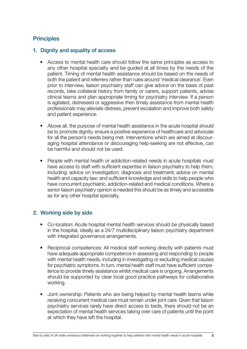# **Principles**

#### 1. Dignity and equality of access

- Access to mental health care should follow the same principles as access to any other hospital specialty and be guided at all times by the needs of the patient. Timing of mental health assistance should be based on the needs of both the patient and referrers rather than rules around 'medical clearance'. Even prior to interview, liaison psychiatry staff can give advice on the basis of past records, take collateral history from family or carers, support patients, advise clinical teams and plan appropriate timing for psychiatry interview. If a person is agitated, distressed or aggressive then timely assistance from mental health professionals may alleviate distress, prevent escalation and improve both safety and patient experience.
- Above all, the purpose of mental health assistance in the acute hospital should be to promote dignity, ensure a positive experience of healthcare and advocate for all the person's needs being met. Interventions which are aimed at discouraging hospital attendance or discouraging help-seeking are not effective, can be harmful and should not be used.
- People with mental health or addiction-related needs in acute hospitals must have access to staff with sufficient expertise in liaison psychiatry to help them, including: advice on investigation; diagnosis and treatment; advice on mental health and capacity law; and sufficient knowledge and skills to help people who have concurrent psychiatric, addiction-related and medical conditions. Where a senior liaison psychiatry opinion is needed this should be as timely and accessible as for any other hospital specialty.

#### 2. Working side by side

- Co-location: Acute hospital mental health services should be physically based in the hospital, ideally as a 24/7 multidisciplinary liaison psychiatry department with integrated governance arrangements.
- Reciprocal competences: All medical staff working directly with patients must have adequate appropriate competence in assessing and responding to people with mental health needs, including in investigating or excluding medical causes for psychiatric symptoms. In turn, mental health staff must have sufficient competence to provide timely assistance whilst medical care is ongoing. Arrangements should be supported by clear local good practice pathways for collaborative working.
- Joint ownership: Patients who are being helped by mental health teams while receiving concurrent medical care must remain under joint care. Given that liaison psychiatry services rarely have direct access to beds, there should not be an expectation of mental health services taking over care of patients until the point at which they have left the hospital.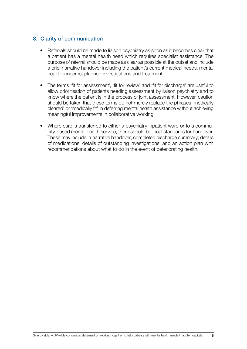#### 3. Clarity of communication

- Referrals should be made to liaison psychiatry as soon as it becomes clear that a patient has a mental health need which requires specialist assistance. The purpose of referral should be made as clear as possible at the outset and include a brief narrative handover including the patient's current medical needs, mental health concerns, planned investigations and treatment.
- The terms 'fit for assessment', 'fit for review' and 'fit for discharge' are useful to allow prioritisation of patients needing assessment by liaison psychiatry and to know where the patient is in the process of joint assessment. However, caution should be taken that these terms do not merely replace the phrases 'medically cleared' or 'medically fit' in deferring mental health assistance without achieving meaningful improvements in collaborative working.
- Where care is transferred to either a psychiatry inpatient ward or to a community-based mental health service, there should be local standards for handover. These may include: a narrative handover; completed discharge summary; details of medications; details of outstanding investigations; and an action plan with recommendations about what to do in the event of deteriorating health.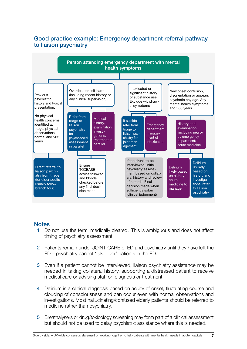

# Good practice example: Emergency department referral pathway to liaison psychiatry

#### **Notes**

- 1 Do not use the term 'medically cleared'. This is ambiguous and does not affect timing of psychiatry assessment.
- 2 Patients remain under JOINT CARE of ED and psychiatry until they have left the ED – psychiatry cannot 'take over' patients in the ED.
- 3 Even if a patient cannot be interviewed, liaison psychiatry assistance may be needed in taking collateral history, supporting a distressed patient to receive medical care or advising staff on diagnosis or treatment.
- 4 Delirium is a clinical diagnosis based on acuity of onset, fluctuating course and clouding of consciousness and can occur even with normal observations and investigations. Most hallucinating/confused elderly patients should be referred to medicine rather than psychiatry.
- 5 Breathalysers or drug/toxicology screening may form part of a clinical assessment but should not be used to delay psychiatric assistance where this is needed.